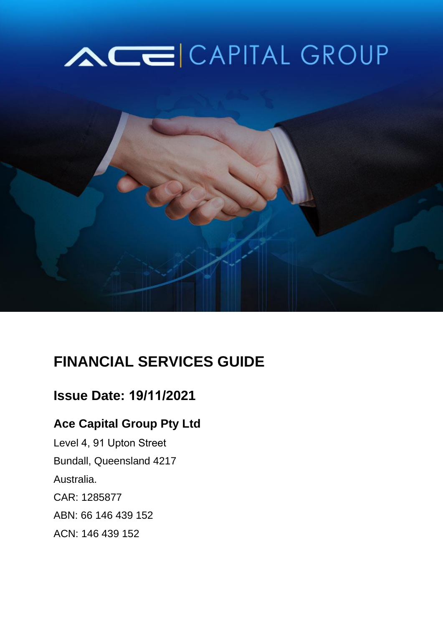# ACE CAPITAL GROUP



# **FINANCIAL SERVICES GUIDE**

## **Issue Date: 19/11/2021**

### **Ace Capital Group Pty Ltd**

Level 4, 91 Upton Street Bundall, Queensland 4217 Australia. CAR: 1285877 ABN: 66 146 439 152 ACN: 146 439 152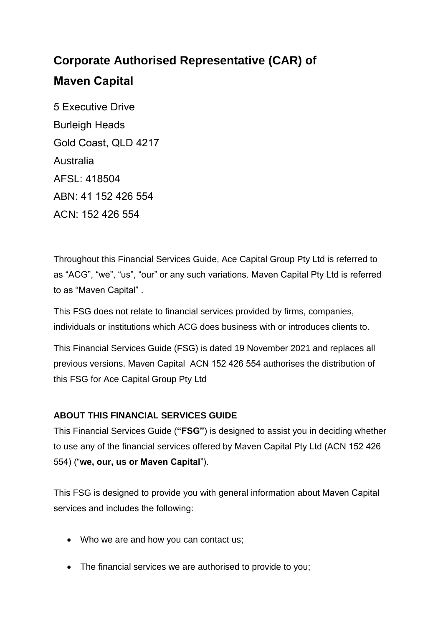## **Corporate Authorised Representative (CAR) of Maven Capital**

5 Executive Drive Burleigh Heads Gold Coast, QLD 4217 Australia  $AFSI \cdot 418504$ ABN: 41 152 426 554 ACN: 152 426 554

Throughout this Financial Services Guide, Ace Capital Group Pty Ltd is referred to as "ACG", "we", "us", "our" or any such variations. Maven Capital Pty Ltd is referred to as "Maven Capital" .

This FSG does not relate to financial services provided by firms, companies, individuals or institutions which ACG does business with or introduces clients to.

This Financial Services Guide (FSG) is dated 19 November 2021 and replaces all previous versions. Maven Capital ACN 152 426 554 authorises the distribution of this FSG for Ace Capital Group Pty Ltd

#### **ABOUT THIS FINANCIAL SERVICES GUIDE**

This Financial Services Guide (**"FSG"**) is designed to assist you in deciding whether to use any of the financial services offered by Maven Capital Pty Ltd (ACN 152 426 554) ("**we, our, us or Maven Capital**").

This FSG is designed to provide you with general information about Maven Capital services and includes the following:

- Who we are and how you can contact us;
- The financial services we are authorised to provide to you;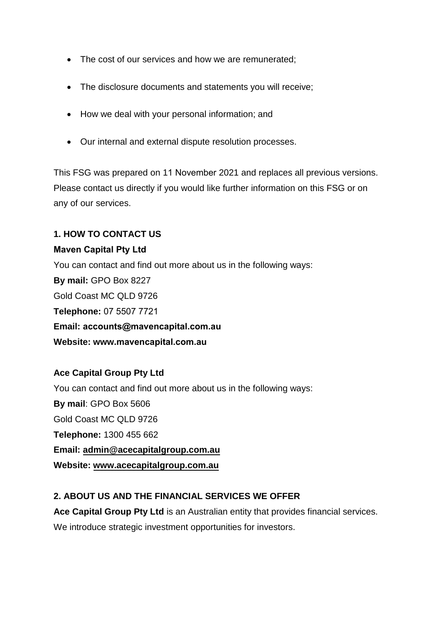- The cost of our services and how we are remunerated;
- The disclosure documents and statements you will receive;
- How we deal with your personal information; and
- Our internal and external dispute resolution processes.

This FSG was prepared on 11 November 2021 and replaces all previous versions. Please contact us directly if you would like further information on this FSG or on any of our services.

#### **1. HOW TO CONTACT US**

#### **Maven Capital Pty Ltd**

You can contact and find out more about us in the following ways: **By mail:** GPO Box 8227 Gold Coast MC QLD 9726 **Telephone:** 07 5507 7721 **Email: accounts@mavencapital.com.au Website: www.mavencapital.com.au** 

#### **Ace Capital Group Pty Ltd**

You can contact and find out more about us in the following ways: **By mail**: GPO Box 5606 Gold Coast MC QLD 9726 **Telephone:** 1300 455 662 **Email: [admin@acecapitalgroup.com.au](mailto:admin@acecapitalgroup.com.au) Website: [www.acecapitalgroup.com.au](http://www.acecapitalgroup.com.au/)**

#### **2. ABOUT US AND THE FINANCIAL SERVICES WE OFFER**

**Ace Capital Group Pty Ltd** is an Australian entity that provides financial services. We introduce strategic investment opportunities for investors.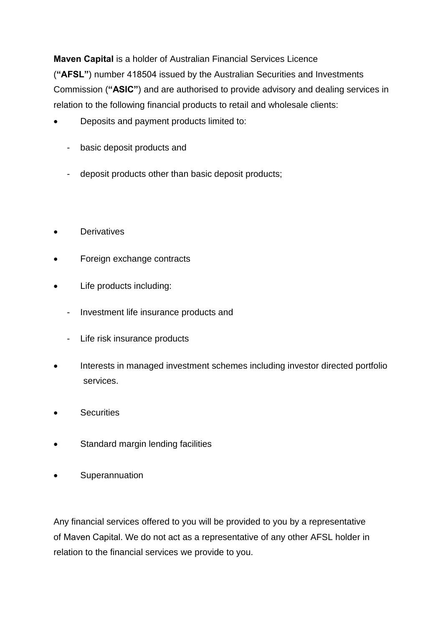**Maven Capital** is a holder of Australian Financial Services Licence (**"AFSL"**) number 418504 issued by the Australian Securities and Investments Commission (**"ASIC"**) and are authorised to provide advisory and dealing services in relation to the following financial products to retail and wholesale clients:

- Deposits and payment products limited to:
	- basic deposit products and
	- deposit products other than basic deposit products;
- **Derivatives**
- Foreign exchange contracts
- Life products including:
	- Investment life insurance products and
	- Life risk insurance products
- Interests in managed investment schemes including investor directed portfolio services.
- **Securities**
- Standard margin lending facilities
- **•** Superannuation

Any financial services offered to you will be provided to you by a representative of Maven Capital. We do not act as a representative of any other AFSL holder in relation to the financial services we provide to you.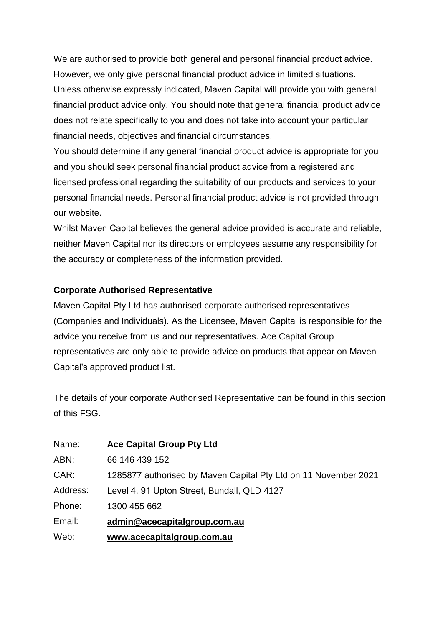We are authorised to provide both general and personal financial product advice. However, we only give personal financial product advice in limited situations. Unless otherwise expressly indicated, Maven Capital will provide you with general financial product advice only. You should note that general financial product advice does not relate specifically to you and does not take into account your particular financial needs, objectives and financial circumstances.

You should determine if any general financial product advice is appropriate for you and you should seek personal financial product advice from a registered and licensed professional regarding the suitability of our products and services to your personal financial needs. Personal financial product advice is not provided through our website.

Whilst Maven Capital believes the general advice provided is accurate and reliable, neither Maven Capital nor its directors or employees assume any responsibility for the accuracy or completeness of the information provided.

#### **Corporate Authorised Representative**

Maven Capital Pty Ltd has authorised corporate authorised representatives (Companies and Individuals). As the Licensee, Maven Capital is responsible for the advice you receive from us and our representatives. Ace Capital Group representatives are only able to provide advice on products that appear on Maven Capital's approved product list.

The details of your corporate Authorised Representative can be found in this section of this FSG.

| Name:    | <b>Ace Capital Group Pty Ltd</b>                                |
|----------|-----------------------------------------------------------------|
| ABN:     | 66 146 439 152                                                  |
| CAR:     | 1285877 authorised by Maven Capital Pty Ltd on 11 November 2021 |
| Address: | Level 4, 91 Upton Street, Bundall, QLD 4127                     |
| Phone:   | 1300 455 662                                                    |
| Email:   | admin@acecapitalgroup.com.au                                    |
| Web:     | www.acecapitalgroup.com.au                                      |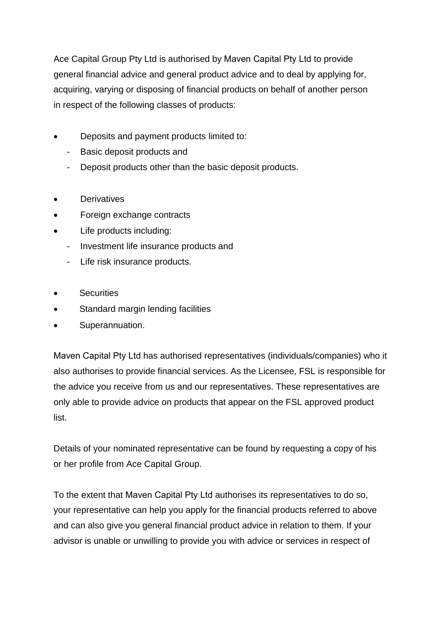Ace Capital Group Pty Ltd is authorised by Maven Capital Pty Ltd to provide general financial advice and general product advice and to deal by applying for, acquiring, varying or disposing of financial products on behalf of another person in respect of the following classes of products:

- Deposits and payment products limited to:
	- Basic deposit products and
	- Deposit products other than the basic deposit products.
- **Derivatives**
- Foreign exchange contracts
- Life products including:
	- Investment life insurance products and
	- Life risk insurance products.
- **Securities**
- Standard margin lending facilities
- Superannuation.

Maven Capital Pty Ltd has authorised representatives (individuals/companies) who it also authorises to provide financial services. As the Licensee, FSL is responsible for the advice you receive from us and our representatives. These representatives are only able to provide advice on products that appear on the FSL approved product list.

Details of your nominated representative can be found by requesting a copy of his or her profile from Ace Capital Group.

To the extent that Maven Capital Pty Ltd authorises its representatives to do so, your representative can help you apply for the financial products referred to above and can also give you general financial product advice in relation to them. If your advisor is unable or unwilling to provide you with advice or services in respect of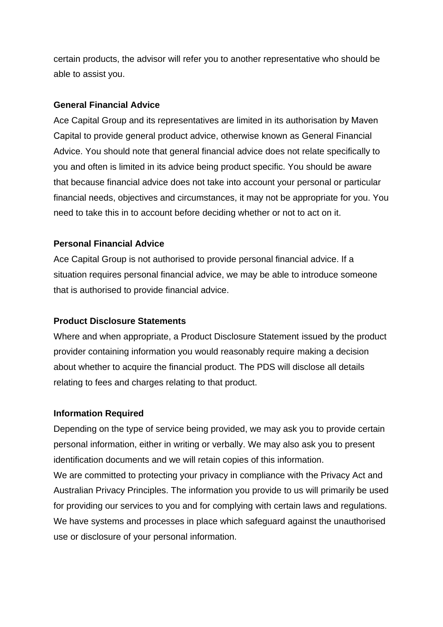certain products, the advisor will refer you to another representative who should be able to assist you.

#### **General Financial Advice**

Ace Capital Group and its representatives are limited in its authorisation by Maven Capital to provide general product advice, otherwise known as General Financial Advice. You should note that general financial advice does not relate specifically to you and often is limited in its advice being product specific. You should be aware that because financial advice does not take into account your personal or particular financial needs, objectives and circumstances, it may not be appropriate for you. You need to take this in to account before deciding whether or not to act on it.

#### **Personal Financial Advice**

Ace Capital Group is not authorised to provide personal financial advice. If a situation requires personal financial advice, we may be able to introduce someone that is authorised to provide financial advice.

#### **Product Disclosure Statements**

Where and when appropriate, a Product Disclosure Statement issued by the product provider containing information you would reasonably require making a decision about whether to acquire the financial product. The PDS will disclose all details relating to fees and charges relating to that product.

#### **Information Required**

Depending on the type of service being provided, we may ask you to provide certain personal information, either in writing or verbally. We may also ask you to present identification documents and we will retain copies of this information.

We are committed to protecting your privacy in compliance with the Privacy Act and Australian Privacy Principles. The information you provide to us will primarily be used for providing our services to you and for complying with certain laws and regulations. We have systems and processes in place which safeguard against the unauthorised use or disclosure of your personal information.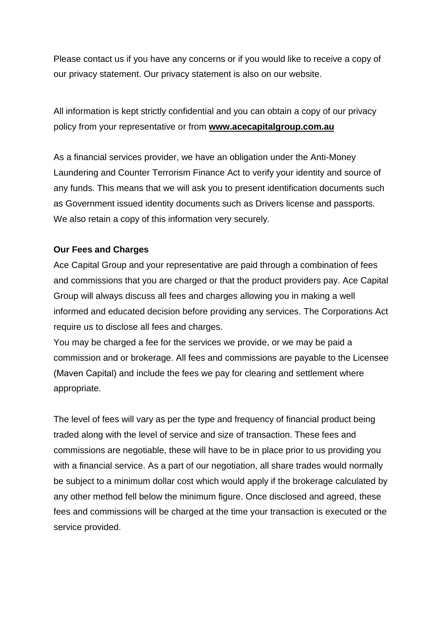Please contact us if you have any concerns or if you would like to receive a copy of our privacy statement. Our privacy statement is also on our website.

All information is kept strictly confidential and you can obtain a copy of our privacy policy from your representative or from **[www.acecapitalgroup.com.au](http://www.acecapitalgroup.com.au/)**

As a financial services provider, we have an obligation under the Anti-Money Laundering and Counter Terrorism Finance Act to verify your identity and source of any funds. This means that we will ask you to present identification documents such as Government issued identity documents such as Drivers license and passports. We also retain a copy of this information very securely.

#### **Our Fees and Charges**

Ace Capital Group and your representative are paid through a combination of fees and commissions that you are charged or that the product providers pay. Ace Capital Group will always discuss all fees and charges allowing you in making a well informed and educated decision before providing any services. The Corporations Act require us to disclose all fees and charges.

You may be charged a fee for the services we provide, or we may be paid a commission and or brokerage. All fees and commissions are payable to the Licensee (Maven Capital) and include the fees we pay for clearing and settlement where appropriate.

The level of fees will vary as per the type and frequency of financial product being traded along with the level of service and size of transaction. These fees and commissions are negotiable, these will have to be in place prior to us providing you with a financial service. As a part of our negotiation, all share trades would normally be subject to a minimum dollar cost which would apply if the brokerage calculated by any other method fell below the minimum figure. Once disclosed and agreed, these fees and commissions will be charged at the time your transaction is executed or the service provided.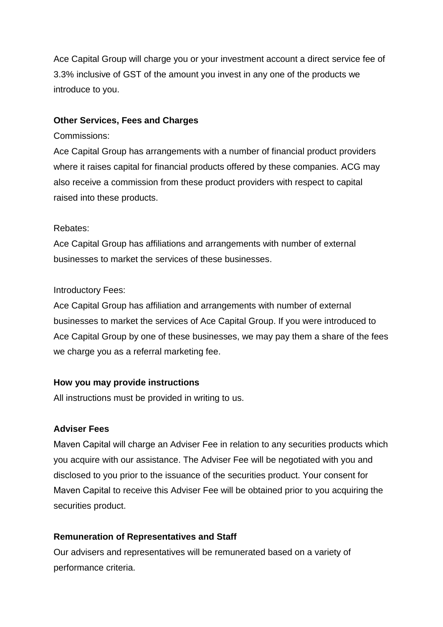Ace Capital Group will charge you or your investment account a direct service fee of 3.3% inclusive of GST of the amount you invest in any one of the products we introduce to you.

#### **Other Services, Fees and Charges**

#### Commissions:

Ace Capital Group has arrangements with a number of financial product providers where it raises capital for financial products offered by these companies. ACG may also receive a commission from these product providers with respect to capital raised into these products.

#### Rebates:

Ace Capital Group has affiliations and arrangements with number of external businesses to market the services of these businesses.

#### Introductory Fees:

Ace Capital Group has affiliation and arrangements with number of external businesses to market the services of Ace Capital Group. If you were introduced to Ace Capital Group by one of these businesses, we may pay them a share of the fees we charge you as a referral marketing fee.

#### **How you may provide instructions**

All instructions must be provided in writing to us.

#### **Adviser Fees**

Maven Capital will charge an Adviser Fee in relation to any securities products which you acquire with our assistance. The Adviser Fee will be negotiated with you and disclosed to you prior to the issuance of the securities product. Your consent for Maven Capital to receive this Adviser Fee will be obtained prior to you acquiring the securities product.

#### **Remuneration of Representatives and Staff**

Our advisers and representatives will be remunerated based on a variety of performance criteria.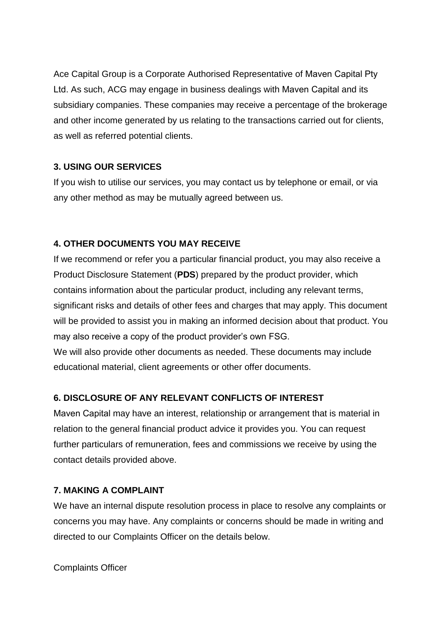Ace Capital Group is a Corporate Authorised Representative of Maven Capital Pty Ltd. As such, ACG may engage in business dealings with Maven Capital and its subsidiary companies. These companies may receive a percentage of the brokerage and other income generated by us relating to the transactions carried out for clients, as well as referred potential clients.

#### **3. USING OUR SERVICES**

If you wish to utilise our services, you may contact us by telephone or email, or via any other method as may be mutually agreed between us.

#### **4. OTHER DOCUMENTS YOU MAY RECEIVE**

If we recommend or refer you a particular financial product, you may also receive a Product Disclosure Statement (**PDS**) prepared by the product provider, which contains information about the particular product, including any relevant terms, significant risks and details of other fees and charges that may apply. This document will be provided to assist you in making an informed decision about that product. You may also receive a copy of the product provider's own FSG.

We will also provide other documents as needed. These documents may include educational material, client agreements or other offer documents.

#### **6. DISCLOSURE OF ANY RELEVANT CONFLICTS OF INTEREST**

Maven Capital may have an interest, relationship or arrangement that is material in relation to the general financial product advice it provides you. You can request further particulars of remuneration, fees and commissions we receive by using the contact details provided above.

#### **7. MAKING A COMPLAINT**

We have an internal dispute resolution process in place to resolve any complaints or concerns you may have. Any complaints or concerns should be made in writing and directed to our Complaints Officer on the details below.

Complaints Officer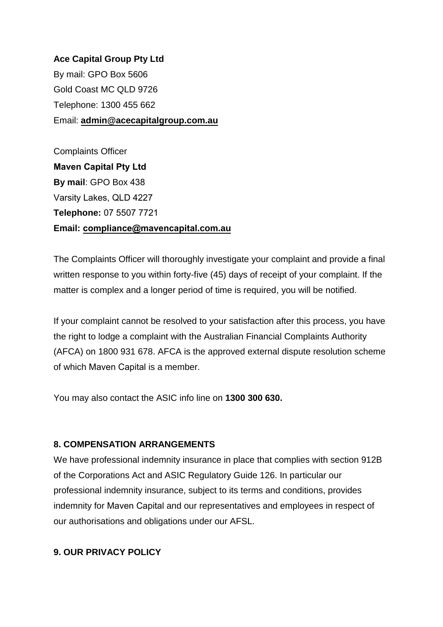**Ace Capital Group Pty Ltd**  By mail: GPO Box 5606 Gold Coast MC QLD 9726 Telephone: 1300 455 662 Email: **[admin@acecapitalgroup.com.au](mailto:admin@acecapitalgroup.com.au)**

Complaints Officer **Maven Capital Pty Ltd By mail**: GPO Box 438 Varsity Lakes, QLD 4227 **Telephone:** 07 5507 7721 **Email: [compliance@mavencapital](mailto:info@finexiasecurities.com.au).com.au**

The Complaints Officer will thoroughly investigate your complaint and provide a final written response to you within forty-five (45) days of receipt of your complaint. If the matter is complex and a longer period of time is required, you will be notified.

If your complaint cannot be resolved to your satisfaction after this process, you have the right to lodge a complaint with the Australian Financial Complaints Authority (AFCA) on 1800 931 678. AFCA is the approved external dispute resolution scheme of which Maven Capital is a member.

You may also contact the ASIC info line on **1300 300 630.**

#### **8. COMPENSATION ARRANGEMENTS**

We have professional indemnity insurance in place that complies with section 912B of the Corporations Act and ASIC Regulatory Guide 126. In particular our professional indemnity insurance, subject to its terms and conditions, provides indemnity for Maven Capital and our representatives and employees in respect of our authorisations and obligations under our AFSL.

#### **9. OUR PRIVACY POLICY**